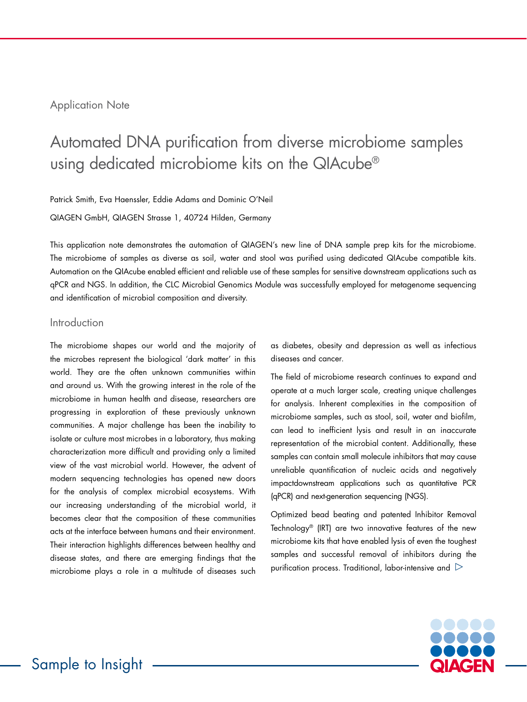## Application Note

# Automated DNA purification from diverse microbiome samples using dedicated microbiome kits on the QIAcube®

Patrick Smith, Eva Haenssler, Eddie Adams and Dominic O'Neil

QIAGEN GmbH, QIAGEN Strasse 1, 40724 Hilden, Germany

This application note demonstrates the automation of QIAGEN's new line of DNA sample prep kits for the microbiome. The microbiome of samples as diverse as soil, water and stool was purified using dedicated QIAcube compatible kits. Automation on the QIAcube enabled efficient and reliable use of these samples for sensitive downstream applications such as qPCR and NGS. In addition, the CLC Microbial Genomics Module was successfully employed for metagenome sequencing and identification of microbial composition and diversity.

## Introduction

The microbiome shapes our world and the majority of the microbes represent the biological 'dark matter' in this world. They are the often unknown communities within and around us. With the growing interest in the role of the microbiome in human health and disease, researchers are progressing in exploration of these previously unknown communities. A major challenge has been the inability to isolate or culture most microbes in a laboratory, thus making characterization more difficult and providing only a limited view of the vast microbial world. However, the advent of modern sequencing technologies has opened new doors for the analysis of complex microbial ecosystems. With our increasing understanding of the microbial world, it becomes clear that the composition of these communities acts at the interface between humans and their environment. Their interaction highlights differences between healthy and disease states, and there are emerging findings that the microbiome plays a role in a multitude of diseases such

as diabetes, obesity and depression as well as infectious diseases and cancer.

The field of microbiome research continues to expand and operate at a much larger scale, creating unique challenges for analysis. Inherent complexities in the composition of microbiome samples, such as stool, soil, water and biofilm, can lead to inefficient lysis and result in an inaccurate representation of the microbial content. Additionally, these samples can contain small molecule inhibitors that may cause unreliable quantification of nucleic acids and negatively impactdownstream applications such as quantitative PCR (qPCR) and next-generation sequencing (NGS).

Optimized bead beating and patented Inhibitor Removal Technology® (IRT) are two innovative features of the new microbiome kits that have enabled lysis of even the toughest samples and successful removal of inhibitors during the purification process. Traditional, labor-intensive and  $\mathrel{\triangleright}$ 

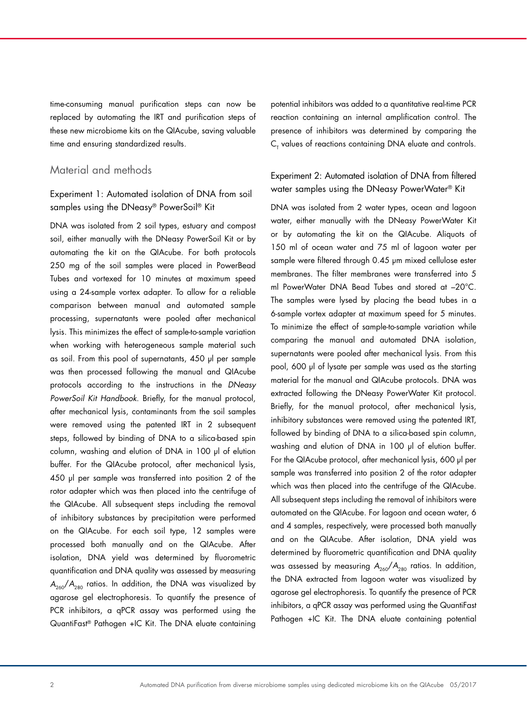time-consuming manual purification steps can now be replaced by automating the IRT and purification steps of these new microbiome kits on the QIAcube, saving valuable time and ensuring standardized results.

## Material and methods

## Experiment 1: Automated isolation of DNA from soil samples using the DNeasy® PowerSoil® Kit

DNA was isolated from 2 soil types, estuary and compost soil, either manually with the DNeasy PowerSoil Kit or by automating the kit on the QIAcube. For both protocols 250 mg of the soil samples were placed in PowerBead Tubes and vortexed for 10 minutes at maximum speed using a 24-sample vortex adapter. To allow for a reliable comparison between manual and automated sample processing, supernatants were pooled after mechanical lysis. This minimizes the effect of sample-to-sample variation when working with heterogeneous sample material such as soil. From this pool of supernatants, 450 µl per sample was then processed following the manual and QIAcube protocols according to the instructions in the *DNeasy PowerSoil Kit Handbook*. Briefly, for the manual protocol, after mechanical lysis, contaminants from the soil samples were removed using the patented IRT in 2 subsequent steps, followed by binding of DNA to a silica-based spin column, washing and elution of DNA in 100 µl of elution buffer. For the QIAcube protocol, after mechanical lysis, 450 µl per sample was transferred into position 2 of the rotor adapter which was then placed into the centrifuge of the QIAcube. All subsequent steps including the removal of inhibitory substances by precipitation were performed on the QIAcube. For each soil type, 12 samples were processed both manually and on the QIAcube. After isolation, DNA yield was determined by fluorometric quantification and DNA quality was assessed by measuring  $A_{260}/A_{280}$  ratios. In addition, the DNA was visualized by agarose gel electrophoresis. To quantify the presence of PCR inhibitors, a qPCR assay was performed using the QuantiFast® Pathogen +IC Kit. The DNA eluate containing

potential inhibitors was added to a quantitative real-time PCR reaction containing an internal amplification control. The presence of inhibitors was determined by comparing the  $\mathsf{C}_{_{\mathsf{T}}}$  values of reactions containing DNA eluate and controls.

## Experiment 2: Automated isolation of DNA from filtered water samples using the DNeasy PowerWater® Kit

DNA was isolated from 2 water types, ocean and lagoon water, either manually with the DNeasy PowerWater Kit or by automating the kit on the QIAcube. Aliquots of 150 ml of ocean water and 75 ml of lagoon water per sample were filtered through 0.45 µm mixed cellulose ester membranes. The filter membranes were transferred into 5 ml PowerWater DNA Bead Tubes and stored at –20°C. The samples were lysed by placing the bead tubes in a 6-sample vortex adapter at maximum speed for 5 minutes. To minimize the effect of sample-to-sample variation while comparing the manual and automated DNA isolation, supernatants were pooled after mechanical lysis. From this pool, 600 µl of lysate per sample was used as the starting material for the manual and QIAcube protocols. DNA was extracted following the DNeasy PowerWater Kit protocol. Briefly, for the manual protocol, after mechanical lysis, inhibitory substances were removed using the patented IRT, followed by binding of DNA to a silica-based spin column, washing and elution of DNA in 100 µl of elution buffer. For the QIAcube protocol, after mechanical lysis, 600 µl per sample was transferred into position 2 of the rotor adapter which was then placed into the centrifuge of the QIAcube. All subsequent steps including the removal of inhibitors were automated on the QIAcube. For lagoon and ocean water, 6 and 4 samples, respectively, were processed both manually and on the QIAcube. After isolation, DNA yield was determined by fluorometric quantification and DNA quality was assessed by measuring  $A_{260}/A_{280}$  ratios. In addition, the DNA extracted from lagoon water was visualized by agarose gel electrophoresis. To quantify the presence of PCR inhibitors, a qPCR assay was performed using the QuantiFast Pathogen +IC Kit. The DNA eluate containing potential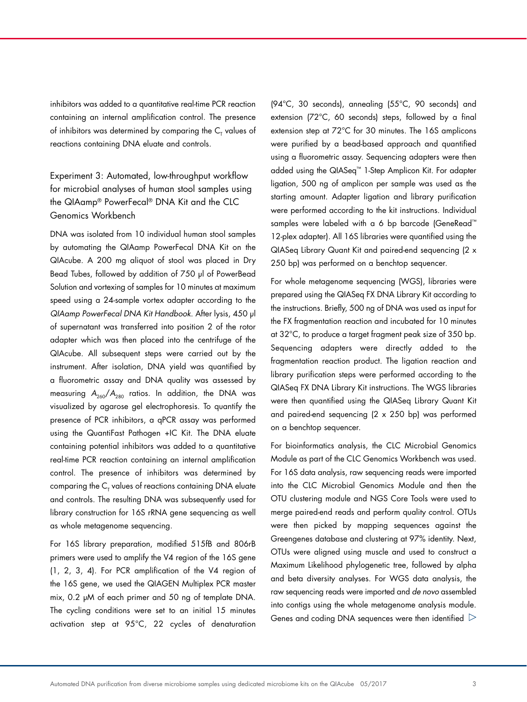inhibitors was added to a quantitative real-time PCR reaction containing an internal amplification control. The presence of inhibitors was determined by comparing the  ${\mathsf C}_{_{\mathsf T}}$  values of reactions containing DNA eluate and controls.

## Experiment 3: Automated, low-throughput workflow for microbial analyses of human stool samples using the QIAamp® PowerFecal® DNA Kit and the CLC Genomics Workbench

DNA was isolated from 10 individual human stool samples by automating the QIAamp PowerFecal DNA Kit on the QIAcube. A 200 mg aliquot of stool was placed in Dry Bead Tubes, followed by addition of 750 µl of PowerBead Solution and vortexing of samples for 10 minutes at maximum speed using a 24-sample vortex adapter according to the *QIAamp PowerFecal DNA Kit Handbook*. After lysis, 450 µl of supernatant was transferred into position 2 of the rotor adapter which was then placed into the centrifuge of the QIAcube. All subsequent steps were carried out by the instrument. After isolation, DNA yield was quantified by a fluorometric assay and DNA quality was assessed by measuring  $A_{260}/A_{280}$  ratios. In addition, the DNA was visualized by agarose gel electrophoresis. To quantify the presence of PCR inhibitors, a qPCR assay was performed using the QuantiFast Pathogen +IC Kit. The DNA eluate containing potential inhibitors was added to a quantitative real-time PCR reaction containing an internal amplification control. The presence of inhibitors was determined by comparing the  ${\sf C}_{_{\sf T}}$  values of reactions containing DNA eluate and controls. The resulting DNA was subsequently used for library construction for 16S rRNA gene sequencing as well as whole metagenome sequencing.

For 16S library preparation, modified 515fB and 806rB primers were used to amplify the V4 region of the 16S gene (1, 2, 3, 4). For PCR amplification of the V4 region of the 16S gene, we used the QIAGEN Multiplex PCR master mix, 0.2 µM of each primer and 50 ng of template DNA. The cycling conditions were set to an initial 15 minutes activation step at 95°C, 22 cycles of denaturation (94°C, 30 seconds), annealing (55°C, 90 seconds) and extension (72°C, 60 seconds) steps, followed by a final extension step at 72°C for 30 minutes. The 16S amplicons were purified by a bead-based approach and quantified using a fluorometric assay. Sequencing adapters were then added using the QIASeq™ 1-Step Amplicon Kit. For adapter ligation, 500 ng of amplicon per sample was used as the starting amount. Adapter ligation and library purification were performed according to the kit instructions. Individual samples were labeled with a 6 bp barcode (GeneRead™ 12-plex adapter). All 16S libraries were quantified using the QIASeq Library Quant Kit and paired-end sequencing (2 x 250 bp) was performed on a benchtop sequencer.

For whole metagenome sequencing (WGS), libraries were prepared using the QIASeq FX DNA Library Kit according to the instructions. Briefly, 500 ng of DNA was used as input for the FX fragmentation reaction and incubated for 10 minutes at 32°C, to produce a target fragment peak size of 350 bp. Sequencing adapters were directly added to the fragmentation reaction product. The ligation reaction and library purification steps were performed according to the QIASeq FX DNA Library Kit instructions. The WGS libraries were then quantified using the QIASeq Library Quant Kit and paired-end sequencing (2 x 250 bp) was performed on a benchtop sequencer.

For bioinformatics analysis, the CLC Microbial Genomics Module as part of the CLC Genomics Workbench was used. For 16S data analysis, raw sequencing reads were imported into the CLC Microbial Genomics Module and then the OTU clustering module and NGS Core Tools were used to merge paired-end reads and perform quality control. OTUs were then picked by mapping sequences against the Greengenes database and clustering at 97% identity. Next, OTUs were aligned using muscle and used to construct a Maximum Likelihood phylogenetic tree, followed by alpha and beta diversity analyses. For WGS data analysis, the raw sequencing reads were imported and *de novo* assembled into contigs using the whole metagenome analysis module. Genes and coding DNA sequences were then identified  $\triangleright$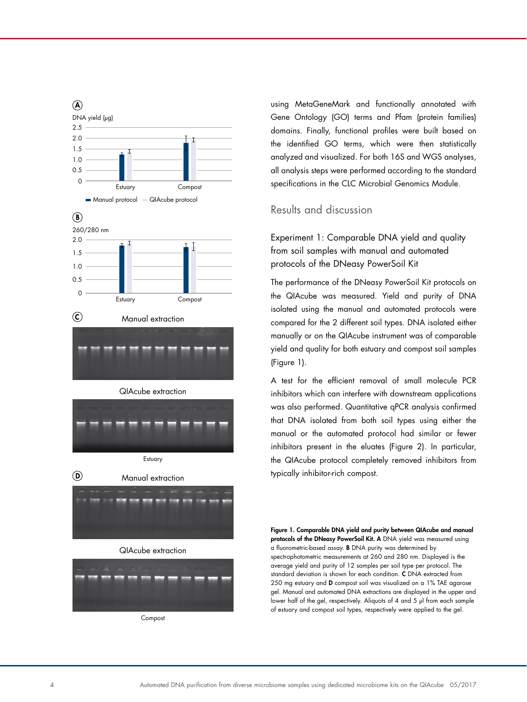





### QIAcube extraction



**Compost** 

using MetaGeneMark and functionally annotated with Gene Ontology (GO) terms and Pfam (protein families) domains. Finally, functional profiles were built based on the identified GO terms, which were then statistically analyzed and visualized. For both 16S and WGS analyses, all analysis steps were performed according to the standard specifications in the CLC Microbial Genomics Module.

## Results and discussion

Experiment 1: Comparable DNA yield and quality from soil samples with manual and automated protocols of the DNeasy PowerSoil Kit

The performance of the DNeasy PowerSoil Kit protocols on the QIAcube was measured. Yield and purity of DNA isolated using the manual and automated protocols were compared for the 2 different soil types. DNA isolated either manually or on the QIAcube instrument was of comparable yield and quality for both estuary and compost soil samples (Figure 1).

A test for the efficient removal of small molecule PCR inhibitors which can interfere with downstream applications was also performed. Quantitative qPCR analysis confirmed that DNA isolated from both soil types using either the manual or the automated protocol had similar or fewer inhibitors present in the eluates (Figure 2). In particular, the QIAcube protocol completely removed inhibitors from typically inhibitor-rich compost.

Figure 1. Comparable DNA yield and purity between QIAcube and manual protocols of the DNeasy PowerSoil Kit. A DNA yield was measured using a fluorometric-based assay. B DNA purity was determined by spectrophotometric measurements at 260 and 280 nm. Displayed is the average yield and purity of 12 samples per soil type per protocol. The standard deviation is shown for each condition. C DNA extracted from 250 mg estuary and D compost soil was visualized on a 1% TAE agarose gel. Manual and automated DNA extractions are displayed in the upper and lower half of the gel, respectively. Aliquots of 4 and 5 µl from each sample of estuary and compost soil types, respectively were applied to the gel.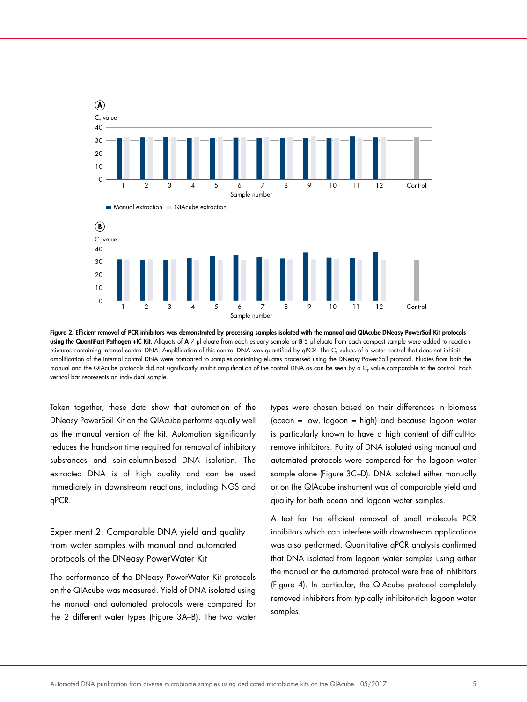

Figure 2. Efficient removal of PCR inhibitors was demonstrated by processing samples isolated with the manual and QIAcube DNeasy PowerSoil Kit protocols using the QuantiFast Pathogen +IC Kit. Aliquots of A 7 µl eluate from each estuary sample or B 5 µl eluate from each compost sample were added to reaction mixtures containing internal control DNA. Amplification of this control DNA was quantified by qPCR. The C<sub>T</sub> values of a water control that does not inhibit amplification of the internal control DNA were compared to samples containing eluates processed using the DNeasy PowerSoil protocol. Eluates from both the manual and the QIAcube protocols did not significantly inhibit amplification of the control DNA as can be seen by a C<sub>t</sub> value comparable to the control. Each vertical bar represents an individual sample.

Taken together, these data show that automation of the DNeasy PowerSoil Kit on the QIAcube performs equally well as the manual version of the kit. Automation significantly reduces the hands-on time required for removal of inhibitory substances and spin-column-based DNA isolation. The extracted DNA is of high quality and can be used immediately in downstream reactions, including NGS and qPCR.

## Experiment 2: Comparable DNA yield and quality from water samples with manual and automated protocols of the DNeasy PowerWater Kit

The performance of the DNeasy PowerWater Kit protocols on the QIAcube was measured. Yield of DNA isolated using the manual and automated protocols were compared for the 2 different water types (Figure 3A–B). The two water

types were chosen based on their differences in biomass (ocean = low, lagoon = high) and because lagoon water is particularly known to have a high content of difficult-toremove inhibitors. Purity of DNA isolated using manual and automated protocols were compared for the lagoon water sample alone (Figure 3C–D). DNA isolated either manually or on the QIAcube instrument was of comparable yield and quality for both ocean and lagoon water samples.

A test for the efficient removal of small molecule PCR inhibitors which can interfere with downstream applications was also performed. Quantitative qPCR analysis confirmed that DNA isolated from lagoon water samples using either the manual or the automated protocol were free of inhibitors (Figure 4). In particular, the QIAcube protocol completely removed inhibitors from typically inhibitor-rich lagoon water samples.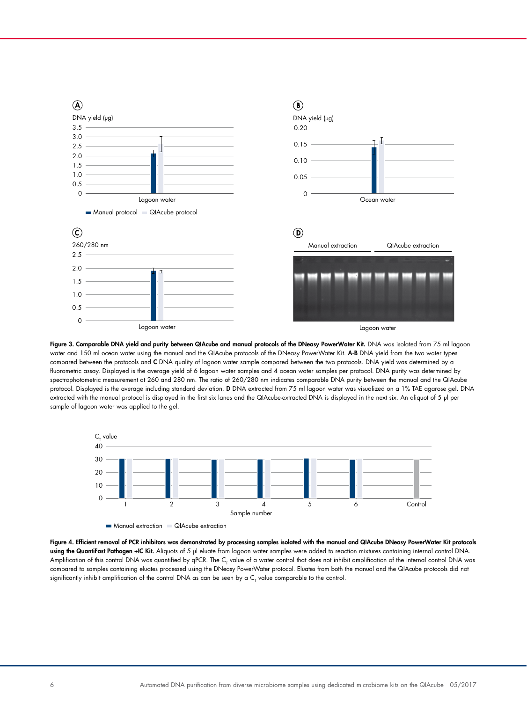

1.5

Figure 3. Comparable DNA yield and purity between QIAcube and manual protocols of the DNeasy PowerWater Kit. DNA was isolated from 75 ml lagoon  $\,$ water and 150 ml ocean water using the manual and the QIAcube protocols of the DNeasy PowerWater Kit. A-B DNA yield from the two water types compared between the protocols and **C** DNA quality of lagoon water sample compared between the two protocols. DNA yield was determined by a fluorometric assay. Displayed is the average yield of 6 lagoon water samples and 4 ocean water samples per protocol. DNA purity was determined by spectrophotometric measurement at 260 and 280 nm. The ratio of 260/280 nm indicates comparable DNA purity between the manual and the QIAcube protocol. Displayed is the average including standard deviation. D DNA extracted from 75 ml lagoon water was visualized on a 1% TAE agarose gel. DNA extracted with the manual protocol is displayed in the first six lanes and the QIAcube-extracted DNA is displayed in the next six. An aliquot of 5 µl per sample of lagoon water was applied to the gel.



**Manual extraction CIAcube extraction** 

Amplification of this control DNA was quantified by qPCR. The C<sub>T</sub> value of a water control that does not inhibit amplification of the internal control DNA was Figure 4. Efficient removal of PCR inhibitors was demonstrated by processing samples isolated with the manual and QIAcube DNeasy PowerWater Kit protocols using the QuantiFast Pathogen +IC Kit. Aliquots of 5 µl eluate from lagoon water samples were added to reaction mixtures containing internal control DNA. compared to samples containing eluates processed using the DNeasy PowerWater protocol. Eluates from both the manual and the QIAcube protocols did not significantly inhibit amplification of the control DNA as can be seen by a  ${\sf C}_7$  value comparable to the control.

2.0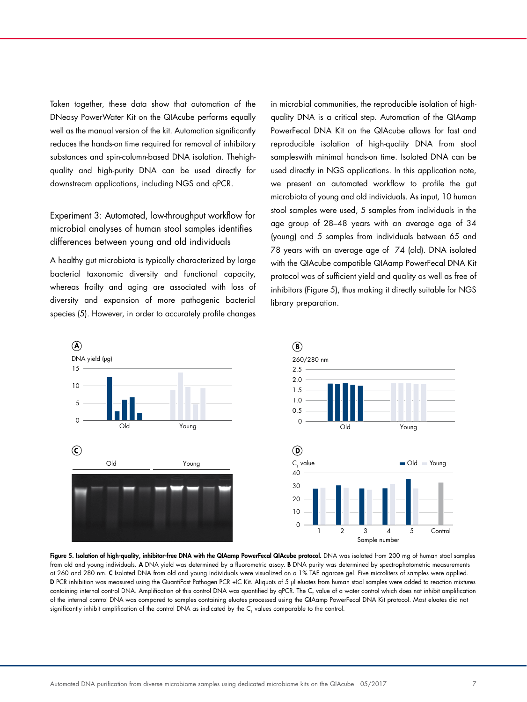Taken together, these data show that automation of the DNeasy PowerWater Kit on the QIAcube performs equally well as the manual version of the kit. Automation significantly reduces the hands-on time required for removal of inhibitory substances and spin-column-based DNA isolation. Thehighquality and high-purity DNA can be used directly for downstream applications, including NGS and qPCR.

Experiment 3: Automated, low-throughput workflow for microbial analyses of human stool samples identifies differences between young and old individuals

A healthy gut microbiota is typically characterized by large bacterial taxonomic diversity and functional capacity, 15 whereas frailty and aging are associated with loss of diversity and expansion of more pathogenic bacterial species (5). However, in order to accurately profile changes in microbial communities, the reproducible isolation of highquality DNA is a critical step. Automation of the QIAamp PowerFecal DNA Kit on the QIAcube allows for fast and reproducible isolation of high-quality DNA from stool sampleswith minimal hands-on time. Isolated DNA can be used directly in NGS applications. In this application note, we present an automated workflow to profile the gut microbiota of young and old individuals. As input, 10 human 5 stool samples were used, 5 samples from individuals in the age group of 28–48 years with an average age of 34 (young) and 5 samples from individuals between 65 and 78 years with an average age of 74 (old). DNA isolated 260/280 nm with the QIAcube compatible QIAamp PowerFecal DNA Kit protocol was of sufficient yield and quality as well as free of inhibitors (Figure 5), thus making it directly suitable for NGS library preparation.  $\mathsf{P}$ 



Figure 3. Boldion of high doliny, immulate free DNA will the distance fourted distance process. B VV was soluted from 200 mg of homan stoot sample<br>from old and young individuals. A DNA yield was determined by a fluorometri nom old and young marviacus. A Drivit yield was actemmed by a nooromente assay. During was actemmed by specifopholomente measurements<br>at 260 and 280 nm. C Isolated DNA from old and young individuals were visualized on a 1% and the manders was measured using the QuantiFast Pathogen PCR +IC Kit. Aliquots of 5 µl eluates from human stool samples were added to reaction mixtures<br>D PCR inhibition was measured using the QuantiFast Pathogen PCR +IC containing internal control DNA. Amplification of this control DNA was quantified by qPCR. The C<sub>T</sub> value of a water control which does not inhibit amplification  $\frac{20 \text{ m}}{20 \text{ m}}$  in this comparable by the control DNA as indicated by the  $C_T$  values comparable to the control. Figure 5. Isolation of high-quality, inhibitor-free DNA with the QIAamp PowerFecal QIAcube protocol. DNA was isolated from 200 mg of human stool samples of the internal control DNA was compared to samples containing eluates processed using the QIAamp PowerFecal DNA Kit protocol. Most eluates did not of the internal control DNA was compared to samples containing eluates pro

C Old Young Transfer that the control of the control of the control of the control of the control of the control of the control of the control of the control of the control of the control of the control of the control of t

value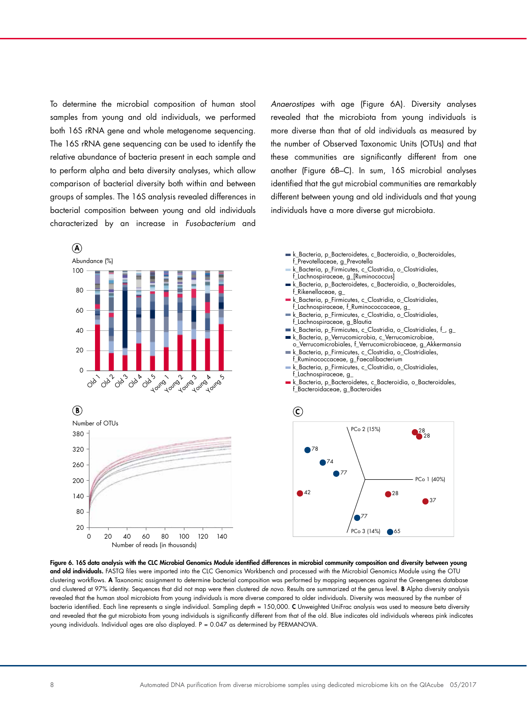To determine the microbial composition of human stool samples from young and old individuals, we performed 100 both 16S rRNA gene and whole metagenome sequencing. The 16S rRNA gene sequencing can be used to identify the 80 relative abundance of bacteria present in each sample and 60 to perform alpha and beta diversity analyses, which allow comparison of bacterial diversity both within and between 40 groups of samples. The 16S analysis revealed differences in 20 bacterial composition between young and old individuals characterized by an increase in *Fusobacterium* and

Anaerostipes with age (Figure 6A). Diversity analyses revealed that the microbiota from young individuals is more diverse than that of old individuals as measured by 80 the number of Observed Taxonomic Units (OTUs) and that these communities are significantly different from one another (Figure 6B–C). In sum, 16S microbial analyses identified that the gut microbial communities are remarkably different between young and old individuals and that young individuals have a more diverse gut microbiota.  $\frac{1}{2}$  $\overline{p}$ f\_Lachnospiraceae, g\_[Ruminococcus] erse man mar or ola individuais as measured  $\frac{B}{B}$  parameterial proposition complete single proposition  $\mathcal{L}_{\mathcal{D}}$ a that the gut microbial communities are re between young and old marviaudis and my k\_Bacteria, p\_Firmicutes, c\_Clostridia, o\_Clostridiales,

0 20 40 60 80 1 100 120 40

PCo 3 (14%)

65



 $\mathbb{R}$  $\sim$  +  $\sim$   $\sim$   $\sim$   $\sim$ 0 20 40 60 80 100 120 140 Number of reads (in thousands) 0 20 40 60 80 100 120 140  $20$ 



80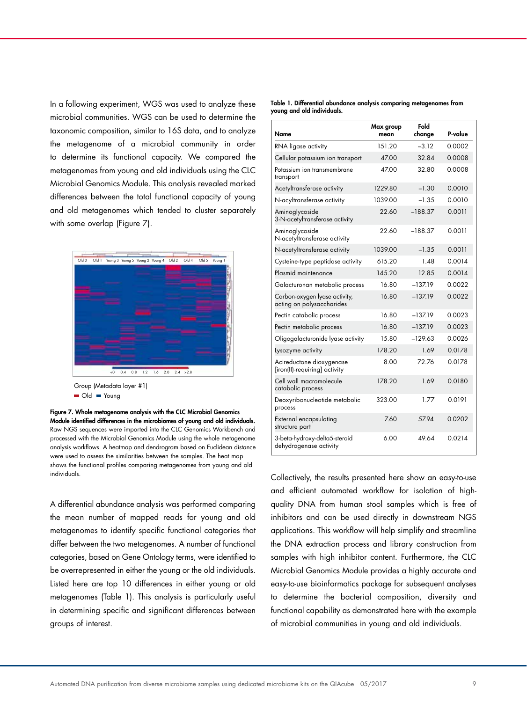In a following experiment, WGS was used to analyze these microbial communities. WGS can be used to determine the taxonomic composition, similar to 16S data, and to analyze the metagenome of a microbial community in order to determine its functional capacity. We compared the metagenomes from young and old individuals using the CLC Microbial Genomics Module. This analysis revealed marked differences between the total functional capacity of young and old metagenomes which tended to cluster separately with some overlap (Figure 7).



Group (Metadata layer #1) Old Young

Figure 7. Whole metagenome analysis with the CLC Microbial Genomics Module identified differences in the microbiomes of young and old individuals. Raw NGS sequences were imported into the CLC Genomics Workbench and processed with the Microbial Genomics Module using the whole metagenome analysis workflows. A heatmap and dendrogram based on Euclidean distance were used to assess the similarities between the samples. The heat map shows the functional profiles comparing metagenomes from young and old individuals.

A differential abundance analysis was performed comparing the mean number of mapped reads for young and old metagenomes to identify specific functional categories that differ between the two metagenomes. A number of functional categories, based on Gene Ontology terms, were identified to be overrepresented in either the young or the old individuals. Listed here are top 10 differences in either young or old metagenomes (Table 1). This analysis is particularly useful in determining specific and significant differences between groups of interest.

Table 1. Differential abundance analysis comparing metagenomes from young and old individuals.

| Name                                                       | Max group<br>mean | Fold<br>change | P-value |
|------------------------------------------------------------|-------------------|----------------|---------|
| RNA ligase activity                                        | 151.20            | $-312$         | 0.0002  |
| Cellular potassium ion transport                           | 47.00             | 32.84          | 0.0008  |
| Potassium ion transmembrane<br>transport                   | 47.00             | 32.80          | 0.0008  |
| Acetyltransferase activity                                 | 1229.80           | $-1.30$        | 0.0010  |
| N-acyltransferase activity                                 | 1039.00           | $-1.35$        | 0.0010  |
| Aminoglycoside<br>3-N-acetyltransferase activity           | 22.60             | $-188.37$      | 0.0011  |
| Aminoglycoside<br>N-acetyltransferase activity             | 22.60             | $-188.37$      | 0.0011  |
| N-acetyltransferase activity                               | 1039.00           | $-1.35$        | 0.0011  |
| Cysteine-type peptidase activity                           | 615.20            | 1.48           | 0.0014  |
| Plasmid maintenance                                        | 145.20            | 12.85          | 0.0014  |
| Galacturonan metabolic process                             | 16.80             | $-13719$       | 0.0022  |
| Carbon-oxygen lyase activity,<br>acting on polysaccharides | 16.80             | $-137.19$      | 0.0022  |
| Pectin catabolic process                                   | 16.80             | $-137.19$      | 0.0023  |
| Pectin metabolic process                                   | 16.80             | $-137.19$      | 0.0023  |
| Oligogalacturonide lyase activity                          | 15.80             | $-129.63$      | 0.0026  |
| Lysozyme activity                                          | 178.20            | 1.69           | 0.0178  |
| Acireductone dioxygenase<br>[iron(II)-requiring] activity  | 8.00              | 72.76          | 0.0178  |
| Cell wall macromolecule<br>catabolic process               | 178.20            | 1.69           | 0.0180  |
| Deoxyribonucleotide metabolic<br>process                   | 323.00            | 1.77           | 0.0191  |
| External encapsulating<br>structure part                   | 7.60              | 57.94          | 0.0202  |
| 3-beta-hydroxy-delta5-steroid<br>dehydrogenase activity    | 6.00              | 49.64          | 0.0214  |

Collectively, the results presented here show an easy-to-use and efficient automated workflow for isolation of highquality DNA from human stool samples which is free of inhibitors and can be used directly in downstream NGS applications. This workflow will help simplify and streamline the DNA extraction process and library construction from samples with high inhibitor content. Furthermore, the CLC Microbial Genomics Module provides a highly accurate and easy-to-use bioinformatics package for subsequent analyses to determine the bacterial composition, diversity and functional capability as demonstrated here with the example of microbial communities in young and old individuals.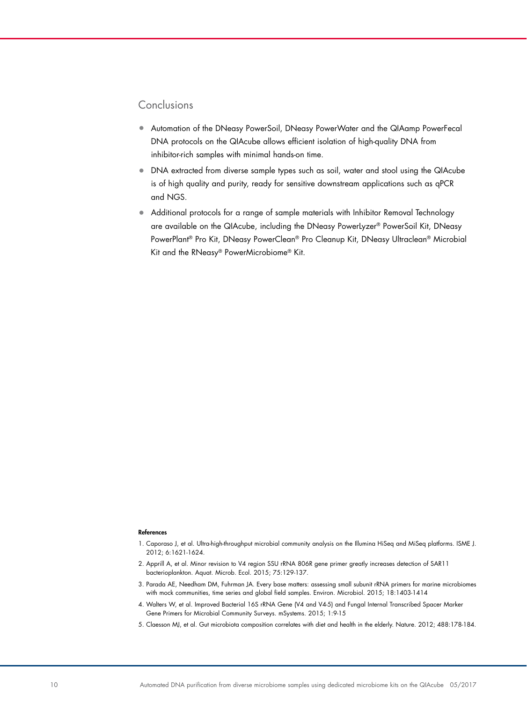## Conclusions

- Automation of the DNeasy PowerSoil, DNeasy PowerWater and the QIAamp PowerFecal DNA protocols on the QIAcube allows efficient isolation of high-quality DNA from inhibitor-rich samples with minimal hands-on time.
- DNA extracted from diverse sample types such as soil, water and stool using the QIAcube is of high quality and purity, ready for sensitive downstream applications such as qPCR and NGS.
- Additional protocols for a range of sample materials with Inhibitor Removal Technology are available on the QIAcube, including the DNeasy PowerLyzer® PowerSoil Kit, DNeasy PowerPlant® Pro Kit, DNeasy PowerClean® Pro Cleanup Kit, DNeasy Ultraclean® Microbial Kit and the RNeasy® PowerMicrobiome® Kit.

#### References

- 1. Caporaso J, et al. Ultra-high-throughput microbial community analysis on the Illumina HiSeq and MiSeq platforms. ISME J. 2012; 6:1621-1624.
- 2. Apprill A, et al. Minor revision to V4 region SSU rRNA 806R gene primer greatly increases detection of SAR11 bacterioplankton. Aquat. Microb. Ecol. 2015; 75:129-137.
- 3. Parada AE, Needham DM, Fuhrman JA. Every base matters: assessing small subunit rRNA primers for marine microbiomes with mock communities, time series and global field samples. Environ. Microbiol. 2015; 18:1403-1414
- 4. Walters W, et al. Improved Bacterial 16S rRNA Gene (V4 and V4-5) and Fungal Internal Transcribed Spacer Marker Gene Primers for Microbial Community Surveys. mSystems. 2015; 1:9-15
- 5. Claesson MJ, et al. Gut microbiota composition correlates with diet and health in the elderly. Nature. 2012; 488:178-184.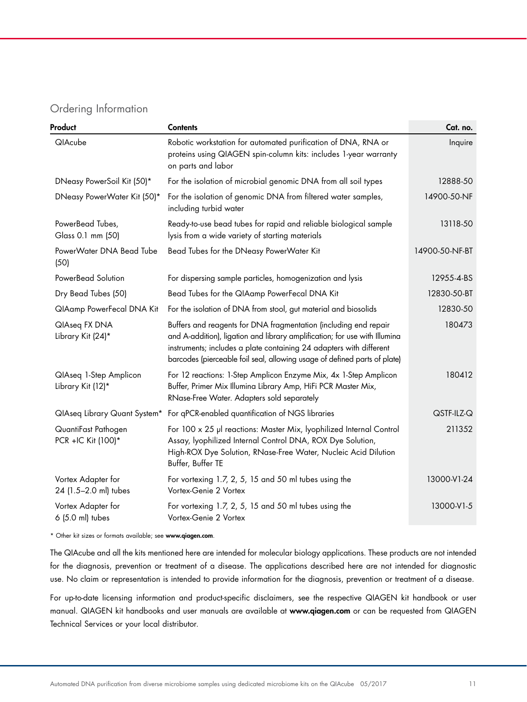## Ordering Information

| Product                                     | <b>Contents</b>                                                                                                                                                                                                                                                                                    | Cat. no.       |
|---------------------------------------------|----------------------------------------------------------------------------------------------------------------------------------------------------------------------------------------------------------------------------------------------------------------------------------------------------|----------------|
| QIAcube                                     | Robotic workstation for automated purification of DNA, RNA or<br>proteins using QIAGEN spin-column kits: includes 1-year warranty<br>on parts and labor                                                                                                                                            | Inquire        |
| DNeasy PowerSoil Kit (50)*                  | For the isolation of microbial genomic DNA from all soil types                                                                                                                                                                                                                                     | 12888-50       |
| DNeasy PowerWater Kit (50)*                 | For the isolation of genomic DNA from filtered water samples,<br>including turbid water                                                                                                                                                                                                            | 14900-50-NF    |
| PowerBead Tubes,<br>Glass 0.1 mm (50)       | Ready-to-use bead tubes for rapid and reliable biological sample<br>lysis from a wide variety of starting materials                                                                                                                                                                                | 13118-50       |
| PowerWater DNA Bead Tube<br>(50)            | Bead Tubes for the DNeasy PowerWater Kit                                                                                                                                                                                                                                                           | 14900-50-NF-BT |
| PowerBead Solution                          | For dispersing sample particles, homogenization and lysis                                                                                                                                                                                                                                          | 12955-4-BS     |
| Dry Bead Tubes (50)                         | Bead Tubes for the QIAamp PowerFecal DNA Kit                                                                                                                                                                                                                                                       | 12830-50-BT    |
| QIAamp PowerFecal DNA Kit                   | For the isolation of DNA from stool, gut material and biosolids                                                                                                                                                                                                                                    | 12830-50       |
| QIAseq FX DNA<br>Library Kit (24)*          | Buffers and reagents for DNA fragmentation (including end repair<br>and A-addition), ligation and library amplification; for use with Illumina<br>instruments; includes a plate containing 24 adapters with different<br>barcodes (pierceable foil seal, allowing usage of defined parts of plate) | 180473         |
| QlAseq 1-Step Amplicon<br>Library Kit (12)* | For 12 reactions: 1-Step Amplicon Enzyme Mix, 4x 1-Step Amplicon<br>Buffer, Primer Mix Illumina Library Amp, HiFi PCR Master Mix,<br>RNase-Free Water. Adapters sold separately                                                                                                                    | 180412         |
| QIAseq Library Quant System*                | For qPCR-enabled quantification of NGS libraries                                                                                                                                                                                                                                                   | QSTF-ILZ-Q     |
| QuantiFast Pathogen<br>PCR +IC Kit (100)*   | For 100 x 25 µl reactions: Master Mix, lyophilized Internal Control<br>Assay, lyophilized Internal Control DNA, ROX Dye Solution,<br>High-ROX Dye Solution, RNase-Free Water, Nucleic Acid Dilution<br>Buffer, Buffer TE                                                                           | 211352         |
| Vortex Adapter for<br>24 (1.5-2.0 ml) tubes | For vortexing 1.7, 2, 5, 15 and 50 ml tubes using the<br>Vortex-Genie 2 Vortex                                                                                                                                                                                                                     | 13000-V1-24    |
| Vortex Adapter for<br>6 (5.0 ml) tubes      | For vortexing 1.7, 2, 5, 15 and 50 ml tubes using the<br>Vortex-Genie 2 Vortex                                                                                                                                                                                                                     | 13000-V1-5     |

\* Other kit sizes or formats available; see www.qiagen.com.

The QIAcube and all the kits mentioned here are intended for molecular biology applications. These products are not intended for the diagnosis, prevention or treatment of a disease. The applications described here are not intended for diagnostic use. No claim or representation is intended to provide information for the diagnosis, prevention or treatment of a disease.

For up-to-date licensing information and product-specific disclaimers, see the respective QIAGEN kit handbook or user manual. QIAGEN kit handbooks and user manuals are available at www.qiagen.com or can be requested from QIAGEN Technical Services or your local distributor.